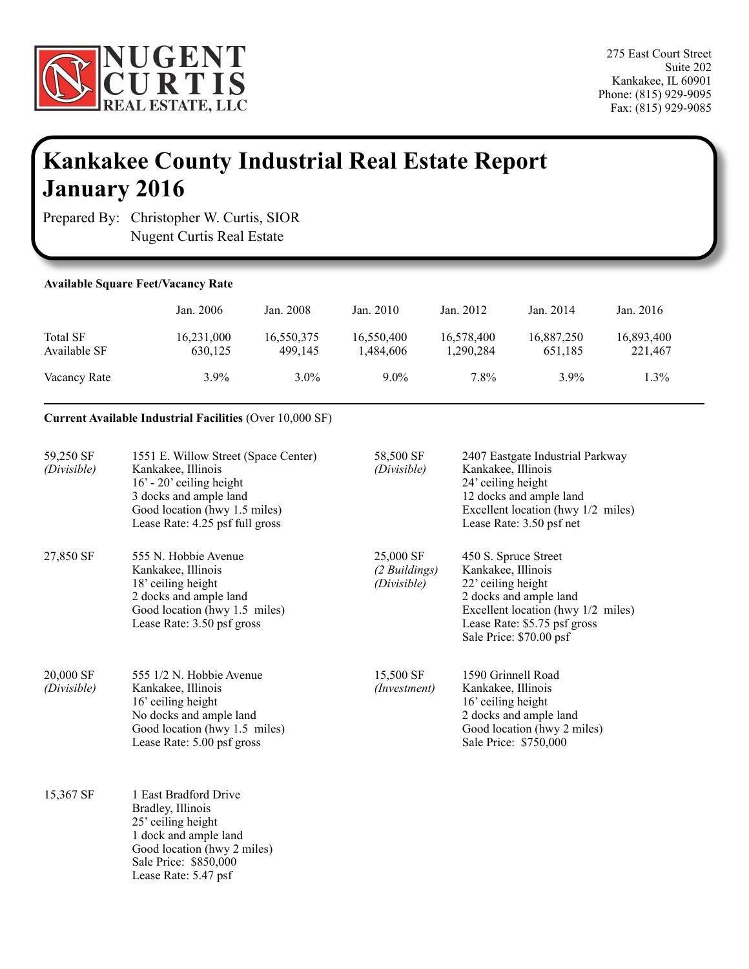

# **Kankakee County Industrial Real Estate Report January 2016**

Prepared By: Christopher W. Curtis, SIOR Nugent Curtis Real Estate

### **Available Square Feet/Vacancy Rate**

|                                 | Jan. 2006             | Jan. 2008             | Jan. 2010               | Jan. 2012               | Jan. 2014             | Jan. 2016             |
|---------------------------------|-----------------------|-----------------------|-------------------------|-------------------------|-----------------------|-----------------------|
| <b>Total SF</b><br>Available SF | 16,231,000<br>630.125 | 16,550,375<br>499.145 | 16,550,400<br>1.484.606 | 16,578,400<br>1,290,284 | 16,887,250<br>651.185 | 16,893,400<br>221,467 |
| Vacancy Rate                    | $3.9\%$               | $3.0\%$               | $9.0\%$                 | 7.8%                    | $3.9\%$               | 1.3%                  |

#### **Current Available Industrial Facilities** (Over 10,000 SF)

| 59,250 SF<br>(Divisible) | 1551 E. Willow Street (Space Center)<br>Kankakee, Illinois<br>$16'$ - 20' ceiling height<br>3 docks and ample land<br>Good location (hwy 1.5 miles)<br>Lease Rate: 4.25 psf full gross | 58,500 SF<br>(Divisible)                  | 2407 Eastgate Industrial Parkway<br>Kankakee, Illinois<br>24' ceiling height<br>12 docks and ample land<br>Excellent location (hwy 1/2 miles)<br>Lease Rate: 3.50 psf net                   |
|--------------------------|----------------------------------------------------------------------------------------------------------------------------------------------------------------------------------------|-------------------------------------------|---------------------------------------------------------------------------------------------------------------------------------------------------------------------------------------------|
| 27,850 SF                | 555 N. Hobbie Avenue<br>Kankakee, Illinois<br>18' ceiling height<br>2 docks and ample land<br>Good location (hwy 1.5 miles)<br>Lease Rate: 3.50 psf gross                              | 25,000 SF<br>(2 Buildings)<br>(Divisible) | 450 S. Spruce Street<br>Kankakee, Illinois<br>22' ceiling height<br>2 docks and ample land<br>Excellent location (hwy 1/2 miles)<br>Lease Rate: \$5.75 psf gross<br>Sale Price: \$70.00 psf |
| 20,000 SF<br>(Divisible) | 555 1/2 N. Hobbie Avenue<br>Kankakee, Illinois<br>16' ceiling height<br>No docks and ample land<br>Good location (hwy 1.5 miles)<br>Lease Rate: 5.00 psf gross                         | 15,500 SF<br>(Investment)                 | 1590 Grinnell Road<br>Kankakee, Illinois<br>16' ceiling height<br>2 docks and ample land<br>Good location (hwy 2 miles)<br>Sale Price: \$750,000                                            |
| 15,367 SF                | 1 East Bradford Drive<br>Bradley, Illinois<br>25' ceiling height<br>1 dock and ample land<br>Good location (hwy 2 miles)<br>Sale Price: \$850,000<br>Lease Rate: 5.47 psf              |                                           |                                                                                                                                                                                             |